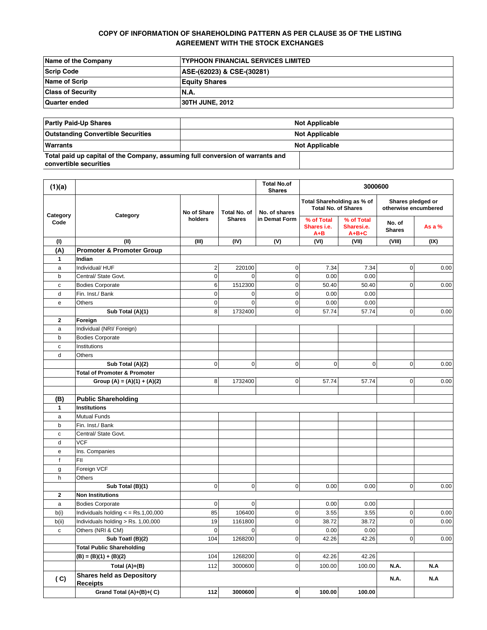# **COPY OF INFORMATION OF SHAREHOLDING PATTERN AS PER CLAUSE 35 OF THE LISTING AGREEMENT WITH THE STOCK EXCHANGES**

| Name of the Company      | <b>ITYPHOON FINANCIAL SERVICES LIMITED</b> |
|--------------------------|--------------------------------------------|
| Scrip Code               | ASE-(62023) & CSE-(30281)                  |
| Name of Scrip            | <b>Equity Shares</b>                       |
| <b>Class of Security</b> | <b>N.A.</b>                                |
| Quarter ended            | <b>30TH JUNE, 2012</b>                     |

| <b>Partly Paid-Up Shares</b>                                                                             | <b>Not Applicable</b> |  |  |
|----------------------------------------------------------------------------------------------------------|-----------------------|--|--|
| <b>Outstanding Convertible Securities</b>                                                                | <b>Not Applicable</b> |  |  |
| Warrants                                                                                                 | <b>Not Applicable</b> |  |  |
| Total paid up capital of the Company, assuming full conversion of warrants and<br>convertible securities |                       |  |  |

| (1)(a)           |                                                     |                |               | <b>Total No.of</b><br><b>Shares</b>                      |                                      | 3000600                                   |                         |          |
|------------------|-----------------------------------------------------|----------------|---------------|----------------------------------------------------------|--------------------------------------|-------------------------------------------|-------------------------|----------|
| Category<br>Code | No of Share<br>Category<br>holders                  | Total No. of   | No. of shares | Total Shareholding as % of<br><b>Total No. of Shares</b> |                                      | Shares pledged or<br>otherwise encumbered |                         |          |
|                  |                                                     |                | <b>Shares</b> | in Demat Form                                            | % of Total<br>Shares i.e.<br>$A + B$ | % of Total<br>Sharesi.e.<br>$A + B + C$   | No. of<br><b>Shares</b> | As a $%$ |
| (1)              | (II)                                                | (III)          | (IV)          | (V)                                                      | (VI)                                 | (VII)                                     | (VIII)                  | (IX)     |
| (A)              | <b>Promoter &amp; Promoter Group</b>                |                |               |                                                          |                                      |                                           |                         |          |
| $\mathbf{1}$     | Indian                                              |                |               |                                                          |                                      |                                           |                         |          |
| a                | Individual/HUF                                      | $\overline{2}$ | 220100        | $\pmb{0}$                                                | 7.34                                 | 7.34                                      | 0                       | 0.00     |
| b                | Central/ State Govt.                                | $\mathbf 0$    | $\mathbf 0$   | $\pmb{0}$                                                | 0.00                                 | 0.00                                      |                         |          |
| c                | <b>Bodies Corporate</b>                             | $6 \,$         | 1512300       | 0                                                        | 50.40                                | 50.40                                     | 0                       | 0.00     |
| d                | Fin. Inst./ Bank                                    | $\mathbf 0$    | $\mathbf 0$   | $\mathbf 0$                                              | 0.00                                 | 0.00                                      |                         |          |
| e                | Others                                              | $\mathbf{0}$   | $\mathbf 0$   | $\pmb{0}$                                                | 0.00                                 | 0.00                                      |                         |          |
|                  | Sub Total (A)(1)                                    | 8              | 1732400       | $\pmb{0}$                                                | 57.74                                | 57.74                                     | 0                       | 0.00     |
| 2<br>a           | Foreign<br>Individual (NRI/ Foreign)                |                |               |                                                          |                                      |                                           |                         |          |
| b                | <b>Bodies Corporate</b>                             |                |               |                                                          |                                      |                                           |                         |          |
| c                | Institutions                                        |                |               |                                                          |                                      |                                           |                         |          |
| d                | Others                                              |                |               |                                                          |                                      |                                           |                         |          |
|                  | Sub Total (A)(2)                                    | $\overline{0}$ | $\mathbf 0$   | $\mathbf 0$                                              | $\mathbf 0$                          | $\mathbf 0$                               | 0                       | 0.00     |
|                  | <b>Total of Promoter &amp; Promoter</b>             |                |               |                                                          |                                      |                                           |                         |          |
|                  | Group (A) = $(A)(1) + (A)(2)$                       | 8              | 1732400       | $\pmb{0}$                                                | 57.74                                | 57.74                                     | $\overline{0}$          | 0.00     |
|                  |                                                     |                |               |                                                          |                                      |                                           |                         |          |
| (B)              | <b>Public Shareholding</b>                          |                |               |                                                          |                                      |                                           |                         |          |
| $\mathbf{1}$     | <b>Institutions</b>                                 |                |               |                                                          |                                      |                                           |                         |          |
| a                | <b>Mutual Funds</b>                                 |                |               |                                                          |                                      |                                           |                         |          |
| b                | Fin. Inst./ Bank                                    |                |               |                                                          |                                      |                                           |                         |          |
| c                | Central/ State Govt.                                |                |               |                                                          |                                      |                                           |                         |          |
| d                | <b>VCF</b>                                          |                |               |                                                          |                                      |                                           |                         |          |
| е                | Ins. Companies                                      |                |               |                                                          |                                      |                                           |                         |          |
| f                | FII                                                 |                |               |                                                          |                                      |                                           |                         |          |
| g                | Foreign VCF                                         |                |               |                                                          |                                      |                                           |                         |          |
| h                | Others                                              |                |               |                                                          |                                      |                                           |                         |          |
|                  | Sub Total (B)(1)                                    | $\overline{0}$ | $\mathbf 0$   | $\pmb{0}$                                                | 0.00                                 | 0.00                                      | 0                       | 0.00     |
| $\mathbf 2$      | <b>Non Institutions</b>                             |                |               |                                                          |                                      |                                           |                         |          |
| a                | <b>Bodies Corporate</b>                             | $\mathbf 0$    | $\mathbf 0$   |                                                          | 0.00                                 | 0.00                                      |                         |          |
| b(i)             | Individuals holding $\epsilon$ = Rs.1,00,000        | 85             | 106400        | $\pmb{0}$                                                | 3.55                                 | 3.55                                      | 0                       | 0.00     |
| b(ii)            | Individuals holding > Rs. 1,00,000                  | 19             | 1161800       | 0                                                        | 38.72                                | 38.72                                     | $\overline{0}$          | 0.00     |
| c                | Others (NRI & CM)                                   | $\mathbf 0$    | $\mathbf 0$   |                                                          | 0.00                                 | 0.00                                      |                         |          |
|                  | Sub Toatl (B)(2)                                    | 104            | 1268200       | $\overline{0}$                                           | 42.26                                | 42.26                                     | $\overline{0}$          | 0.00     |
|                  | <b>Total Public Shareholding</b>                    | 104            | 1268200       |                                                          |                                      | 42.26                                     |                         |          |
|                  | $(B) = (B)(1) + (B)(2)$                             |                |               | 0                                                        | 42.26                                |                                           |                         |          |
|                  | Total $(A)+(B)$                                     | 112            | 3000600       | $\mathbf 0$                                              | 100.00                               | 100.00                                    | <b>N.A.</b>             | N.A      |
| (C)              | <b>Shares held as Depository</b><br><b>Receipts</b> |                |               |                                                          |                                      |                                           | N.A.                    | N.A      |
|                  | Grand Total (A)+(B)+(C)                             | 112            | 3000600       | $\pmb{0}$                                                | 100.00                               | 100.00                                    |                         |          |